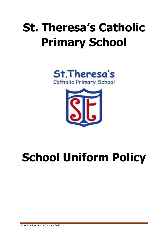## **St. Theresa's Catholic Primary School**





# **School Uniform Policy**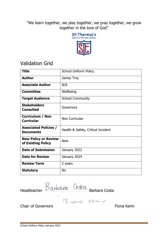"We learn together, we play together, we pray together, we grow together in the love of God"



## Validation Grid

| <b>Title</b>                                      | <b>School Unfiorm Policy</b>       |  |  |  |
|---------------------------------------------------|------------------------------------|--|--|--|
| <b>Author</b>                                     | James Troy                         |  |  |  |
| <b>Associate Author</b>                           | N/A                                |  |  |  |
| <b>Committee</b>                                  | Wellbeing                          |  |  |  |
| <b>Target Audience</b>                            | <b>School Community</b>            |  |  |  |
| <b>Stakeholders</b><br><b>Consulted</b>           | Governors                          |  |  |  |
| <b>Curriculum / Non</b><br><b>Curricular</b>      | Non Curricular                     |  |  |  |
| <b>Associated Policies /</b><br><b>Documents</b>  | Health & Safety, Critical Incident |  |  |  |
| <b>New Policy or Review</b><br>of Existing Policy | <b>New</b>                         |  |  |  |
| <b>Date of Submission</b>                         | January 2022                       |  |  |  |
| <b>Date for Review</b>                            | January 2024                       |  |  |  |
| <b>Review Term</b>                                | 2 years                            |  |  |  |
| <b>Statutory</b>                                  | <b>No</b>                          |  |  |  |

Headteacher DWDWN Barbara Costa

Chair of Governors **Fiona** Kerin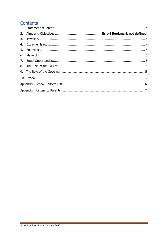## Contents

Ŧ,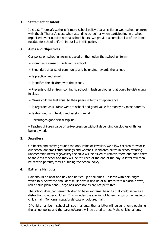#### <span id="page-3-0"></span>**1. Statement of Intent**

It is a St Theresa's Catholic Primary School policy that all children wear school uniform with the St Theresa's crest when attending school, or when participating in a school organised event outside normal school hours. We provide a complete list of the items needed for school uniform in our list in this policy.

#### **2. Aims and Objectives**

Our policy on school uniform is based on the notion that school uniform:

- Promotes a sense of pride in the school.
- Engenders a sense of community and belonging towards the school.
- Is practical and smart.
- Identifies the children with the school.

• Prevents children from coming to school in fashion clothes that could be distracting in class.

- Makes children feel equal to their peers in terms of appearance.
- Is regarded as suitable wear to school and good value for money by most parents.
- Is designed with health and safety in mind.
- Encourages good self-discipline.

• Teaches children value of self-expression without depending on clothes or things being owned.

#### **3. Jewellery**

On health and safety grounds the only items of jewellery we allow children to wear in our school are small stud earrings and watches. If children arrive in school wearing unacceptable items of jewellery the child will be asked to remove them and hand them to the class teacher and they will be returned at the end of the day. A letter will then be sent to parents/carers outlining the school policy.

#### **4. Extreme Haircuts**

Hair should be neat and tidy and be tied up at all times. Children with hair length which falls below the shoulders must have it tied up at all times with a black, brown, red or blue plain band. Large hair accessories are not permitted.

The school does not permit children to have 'extreme' haircuts that could serve as a distraction to other children. This includes the shaving of letters, logos or names into child's hair, Mohicans, steps/undercuts or coloured hair.

If children arrive in school will such haircuts, then a letter will be sent home outlining the school policy and the parents/carers will be asked to rectify the child's haircut.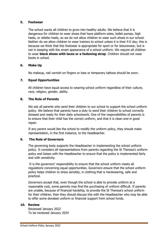#### **5. Footwear**

The school wants all children to grow into healthy adults. We believe that it is dangerous for children to wear shoes that have platform soles, ballet pumps, high heels, or stiletto heels, so we do not allow children to wear such shoes in our school. Neither do we allow children to wear trainers to school unless it is their P.E day; this is because we think that this footwear is appropriate for sport or for leisurewear, but is not in keeping with the smart appearance of a school uniform. We require all children to wear **black shoes with laces or a fastening strap**. Children should not wear boots in school.

#### **6. Make Up**

No makeup, nail varnish on fingers or toes or temporary tattoos should be worn.

#### **7. Equal Opportunities**

All children have equal access to wearing school uniform regardless of their culture, race, religion, gender, ability.

#### **8. The Role of Parents**

We ask all parents who send their children to our school to support the school uniform policy. We believe that parents have a duty to send their children to school correctly dressed and ready for their daily schoolwork. One of the responsibilities of parents is to ensure that their child has the correct uniform, and that it is clean and in good repair.

If any parent would like the school to modify the uniform policy, they should make representation, in the first instance, to the Headteacher.

#### **9. The Role of Governors**

The governing body supports the Headteacher in implementing the school uniform policy. It considers all representations from parents regarding the St Theresa's uniform policy and liaises with the Headteacher to ensure that the policy is implemented fairly and with sensitivity.

It is the governors' responsibility to ensure that the school uniform meets all regulations concerning equal opportunities. Governors ensure that the school uniform policy helps children to dress sensibly, in clothing that is hardwearing, safe and practical.

Governors accept that, even though the school is able to provide uniform at a reasonable cost, some parents may find the purchasing of uniform difficult. If parents are unable, because of financial hardship, to provide the St Theresa's school uniform for their children, then they should discuss this with the Headteacher who may be able to offer some donated uniform or financial support from school funds.

#### **10. Review**

 Reviewed January 2022 To be reviewed January 2024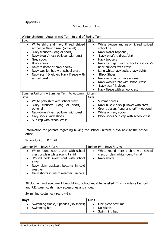#### Appendix i

#### **School Uniform List**

| Winter Uniform - Autumn mid Term to end of Spring Term                                                                                                                                                                                                                                                             |                                                                                                                                                                                                                                                                                                                                                                                                       |  |  |  |  |
|--------------------------------------------------------------------------------------------------------------------------------------------------------------------------------------------------------------------------------------------------------------------------------------------------------------------|-------------------------------------------------------------------------------------------------------------------------------------------------------------------------------------------------------------------------------------------------------------------------------------------------------------------------------------------------------------------------------------------------------|--|--|--|--|
| <b>Boys</b>                                                                                                                                                                                                                                                                                                        | Girls                                                                                                                                                                                                                                                                                                                                                                                                 |  |  |  |  |
| White shirt and navy & red striped<br>school tie Navy blazer (optional)<br>Grey trousers (long or short)<br>Navy-blue V-neck pullover with crest<br>Grey socks<br><b>Black shoes</b><br>Navy raincoat or navy anorak<br>Navy woollen hat with school crest<br>Navy scarf & gloves Navy Fleece with<br>school crest | White blouse and navy & red striped<br>$\bullet$<br>school tie<br>Navy blazer (optional)<br>Navy pinafore dress/skirt<br>Navy trousers<br>Navy cardigan with school crest or V-<br>neck pullover with crest<br>Long white/navy socks /navy tights<br><b>Black Shoes</b><br>Navy raincoat or navy anorak<br>Navy woollen hat with school crest<br>Navy scarf & gloves<br>Navy fleece with school crest |  |  |  |  |
| Summer Uniform - Summer Term to Autumn mid term                                                                                                                                                                                                                                                                    |                                                                                                                                                                                                                                                                                                                                                                                                       |  |  |  |  |
| <b>Boys</b>                                                                                                                                                                                                                                                                                                        | Girls                                                                                                                                                                                                                                                                                                                                                                                                 |  |  |  |  |
| White polo shirt with school crest<br>Grey trousers (long or<br>short)<br>optional<br>Navy-blue V-neck pullover with crest<br>Grey socks Black shoes<br>Sun cap with school crest                                                                                                                                  | Summer dress<br>Navy-blue V-neck pullover with crest<br>Grey trousers (long or short) – optional<br>White or navy socks<br>$\bullet$<br>Black shoes Sun cap with school crest<br>$\bullet$                                                                                                                                                                                                            |  |  |  |  |

Information for parents regarding buying the school uniform is available at the school office.

School Uniform P.E. Kit

| Outdoor PE - Boys & Girls                                                                                                                                                                                                               | Indoor PE - Boys & Girls                                                                    |
|-----------------------------------------------------------------------------------------------------------------------------------------------------------------------------------------------------------------------------------------|---------------------------------------------------------------------------------------------|
| • White round neck t shirt with school<br>crest or plain white round t shirt<br>Round neck sweat shirt with school<br>$\bullet$<br>crest<br>• Navy plain tracksuit bottoms in cold<br>weather<br>• Navy shorts in warm weather Trainers | • White round neck t shirt with school<br>crest or plain white round t shirt<br>Navy shorts |

All clothing and equipment brought into school must be labelled. This includes all school and P.E. wear, coats, navy accessories and shoes.

Swimming costumes (Years 4-6):

| <b>Boys</b>                                          | <b>Girls</b>                                    |
|------------------------------------------------------|-------------------------------------------------|
| Swimming trunks/ Speedos (No shorts)<br>Swimming hat | One-piece costume<br>No bikinis<br>Swimming hat |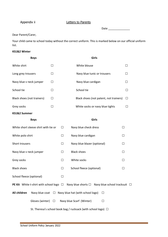Appendix ii Letters to Parents

Date \_\_\_\_\_\_\_\_\_\_\_\_\_\_

#### Dear Parent/Carer,

Your child came to school today without the correct uniform. This is marked below on our official uniform list.

#### **KS1&2 Winter**

| <b>Boys</b>                                                                                                            |                           |        | Girls                                                            |              |  |  |  |  |
|------------------------------------------------------------------------------------------------------------------------|---------------------------|--------|------------------------------------------------------------------|--------------|--|--|--|--|
| White shirt                                                                                                            | $\Box$                    |        | White blouse                                                     | П            |  |  |  |  |
| Long grey trousers                                                                                                     | $\Box$                    |        | Navy blue tunic or trousers                                      | $\perp$      |  |  |  |  |
| Navy blue v neck jumper                                                                                                | $\Box$                    |        | Navy blue cardigan                                               | $\perp$      |  |  |  |  |
| School tie                                                                                                             | $\Box$                    |        | School tie                                                       | $\Box$       |  |  |  |  |
| Black shoes (not trainers)                                                                                             | $\Box$                    |        | Black shoes (not patent, not trainers)                           | $\Box$       |  |  |  |  |
| Grey socks                                                                                                             | $\Box$                    |        | White socks or navy blue tights                                  | $\mathbf{L}$ |  |  |  |  |
| KS1&2 Summer                                                                                                           |                           |        |                                                                  |              |  |  |  |  |
| <b>Boys</b>                                                                                                            |                           |        | Girls                                                            |              |  |  |  |  |
| White short sleeve shirt with tie or                                                                                   |                           | $\Box$ | Navy blue check dress<br>$\Box$                                  |              |  |  |  |  |
| White polo shirt                                                                                                       |                           | ப      | Navy blue cardigan<br>$\perp$                                    |              |  |  |  |  |
| Short trousers                                                                                                         |                           | ப      | Navy blue blazer (optional)                                      | $\perp$      |  |  |  |  |
| Navy blue v neck jumper                                                                                                |                           | $\Box$ | <b>Black shoes</b><br>П                                          |              |  |  |  |  |
| Grey socks                                                                                                             |                           | $\Box$ | White socks<br>П                                                 |              |  |  |  |  |
| <b>Black shoes</b>                                                                                                     |                           | $\Box$ | School fleece (optional)<br>$\perp$                              |              |  |  |  |  |
| School fleece (optional)                                                                                               |                           | Ш      |                                                                  |              |  |  |  |  |
| <b>PE Kit</b> White t-shirt with school logo $\Box$<br>Navy blue shorts $\square$ Navy blue school tracksuit $\square$ |                           |        |                                                                  |              |  |  |  |  |
| All children                                                                                                           |                           |        | Navy blue coat $\Box$ Navy blue hat (with school logo)<br>$\Box$ |              |  |  |  |  |
|                                                                                                                        | Gloves (winter) $\square$ |        | Navy blue Scarf (Winter)<br>$\Box$                               |              |  |  |  |  |
| St. Theresa's school book bag / rucksack (with school logo) □                                                          |                           |        |                                                                  |              |  |  |  |  |